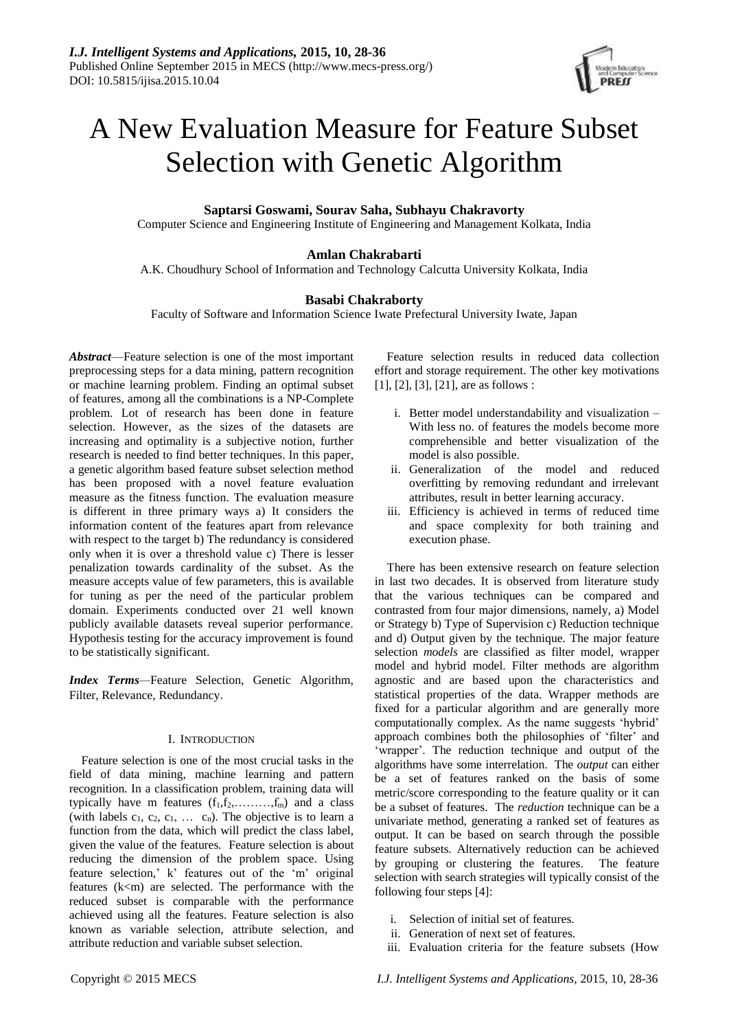

# A New Evaluation Measure for Feature Subset Selection with Genetic Algorithm

# **Saptarsi Goswami, Sourav Saha, Subhayu Chakravorty**

Computer Science and Engineering Institute of Engineering and Management Kolkata, India

# **Amlan Chakrabarti**

A.K. Choudhury School of Information and Technology Calcutta University Kolkata, India

# **Basabi Chakraborty**

Faculty of Software and Information Science Iwate Prefectural University Iwate, Japan

*Abstract*—Feature selection is one of the most important preprocessing steps for a data mining, pattern recognition or machine learning problem. Finding an optimal subset of features, among all the combinations is a NP-Complete problem. Lot of research has been done in feature selection. However, as the sizes of the datasets are increasing and optimality is a subjective notion, further research is needed to find better techniques. In this paper, a genetic algorithm based feature subset selection method has been proposed with a novel feature evaluation measure as the fitness function. The evaluation measure is different in three primary ways a) It considers the information content of the features apart from relevance with respect to the target b) The redundancy is considered only when it is over a threshold value c) There is lesser penalization towards cardinality of the subset. As the measure accepts value of few parameters, this is available for tuning as per the need of the particular problem domain. Experiments conducted over 21 well known publicly available datasets reveal superior performance. Hypothesis testing for the accuracy improvement is found to be statistically significant.

*Index Terms—*Feature Selection, Genetic Algorithm, Filter, Relevance, Redundancy.

## I. INTRODUCTION

Feature selection is one of the most crucial tasks in the field of data mining, machine learning and pattern recognition. In a classification problem, training data will typically have m features  $(f_1, f_2, \ldots, f_m)$  and a class (with labels  $c_1, c_2, c_1, \ldots, c_n$ ). The objective is to learn a function from the data, which will predict the class label, given the value of the features. Feature selection is about reducing the dimension of the problem space. Using feature selection,' k' features out of the 'm' original features  $(k< m)$  are selected. The performance with the reduced subset is comparable with the performance achieved using all the features. Feature selection is also known as variable selection, attribute selection, and attribute reduction and variable subset selection.

Feature selection results in reduced data collection effort and storage requirement. The other key motivations [1], [2], [3], [21], are as follows :

- i. Better model understandability and visualization With less no. of features the models become more comprehensible and better visualization of the model is also possible.
- ii. Generalization of the model and reduced overfitting by removing redundant and irrelevant attributes, result in better learning accuracy.
- iii. Efficiency is achieved in terms of reduced time and space complexity for both training and execution phase.

There has been extensive research on feature selection in last two decades. It is observed from literature study that the various techniques can be compared and contrasted from four major dimensions, namely, a) Model or Strategy b) Type of Supervision c) Reduction technique and d) Output given by the technique. The major feature selection *models* are classified as filter model, wrapper model and hybrid model. Filter methods are algorithm agnostic and are based upon the characteristics and statistical properties of the data. Wrapper methods are fixed for a particular algorithm and are generally more computationally complex. As the name suggests 'hybrid' approach combines both the philosophies of 'filter' and 'wrapper'. The reduction technique and output of the algorithms have some interrelation. The *output* can either be a set of features ranked on the basis of some metric/score corresponding to the feature quality or it can be a subset of features. The *reduction* technique can be a univariate method, generating a ranked set of features as output. It can be based on search through the possible feature subsets. Alternatively reduction can be achieved by grouping or clustering the features. The feature selection with search strategies will typically consist of the following four steps [4]:

- i. Selection of initial set of features.
- ii. Generation of next set of features.
- iii. Evaluation criteria for the feature subsets (How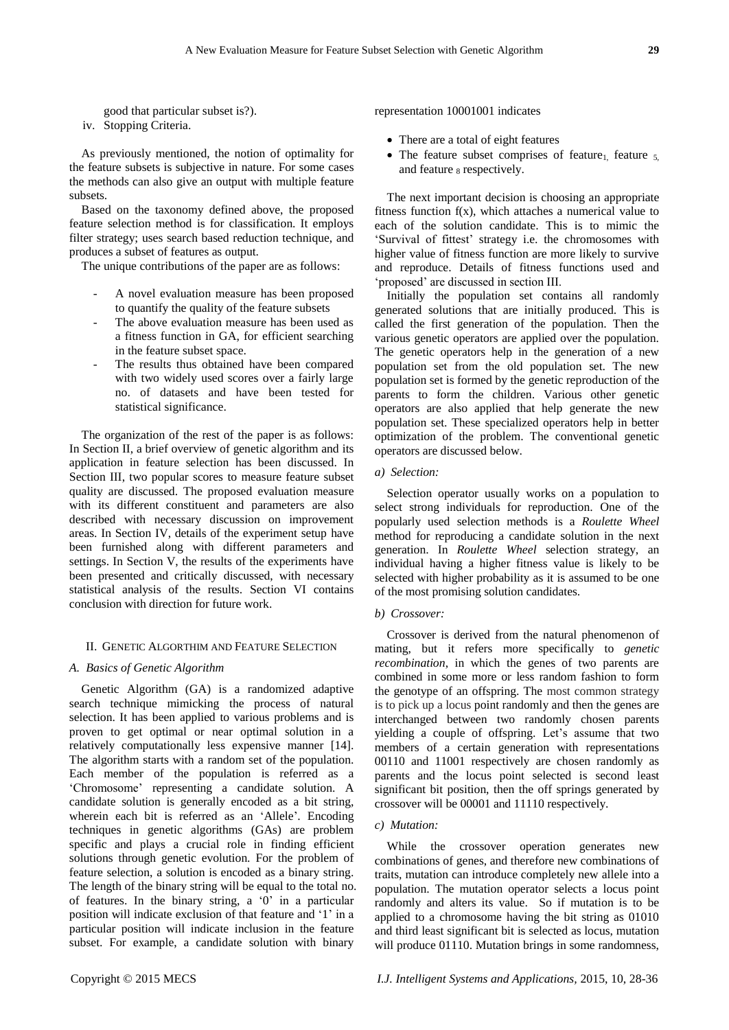good that particular subset is?). iv. Stopping Criteria.

As previously mentioned, the notion of optimality for the feature subsets is subjective in nature. For some cases the methods can also give an output with multiple feature subsets.

Based on the taxonomy defined above, the proposed feature selection method is for classification. It employs filter strategy; uses search based reduction technique, and produces a subset of features as output.

The unique contributions of the paper are as follows:

- A novel evaluation measure has been proposed to quantify the quality of the feature subsets
- The above evaluation measure has been used as a fitness function in GA, for efficient searching in the feature subset space.
- The results thus obtained have been compared with two widely used scores over a fairly large no. of datasets and have been tested for statistical significance.

The organization of the rest of the paper is as follows: In Section II, a brief overview of genetic algorithm and its application in feature selection has been discussed. In Section III, two popular scores to measure feature subset quality are discussed. The proposed evaluation measure with its different constituent and parameters are also described with necessary discussion on improvement areas. In Section IV, details of the experiment setup have been furnished along with different parameters and settings. In Section V, the results of the experiments have been presented and critically discussed, with necessary statistical analysis of the results. Section VI contains conclusion with direction for future work.

### II. GENETIC ALGORTHIM AND FEATURE SELECTION

#### *A. Basics of Genetic Algorithm*

Genetic Algorithm (GA) is a randomized adaptive search technique mimicking the process of natural selection. It has been applied to various problems and is proven to get optimal or near optimal solution in a relatively computationally less expensive manner [14]. The algorithm starts with a random set of the population. Each member of the population is referred as a 'Chromosome' representing a candidate solution. A candidate solution is generally encoded as a bit string, wherein each bit is referred as an 'Allele'. Encoding techniques in genetic algorithms (GAs) are problem specific and plays a crucial role in finding efficient solutions through genetic evolution. For the problem of feature selection, a solution is encoded as a binary string. The length of the binary string will be equal to the total no. of features. In the binary string, a '0' in a particular position will indicate exclusion of that feature and '1' in a particular position will indicate inclusion in the feature subset. For example, a candidate solution with binary

representation 10001001 indicates

- There are a total of eight features
- The feature subset comprises of feature<sub>1</sub>, feature  $5$ , and feature  $_8$  respectively.

The next important decision is choosing an appropriate fitness function  $f(x)$ , which attaches a numerical value to each of the solution candidate. This is to mimic the 'Survival of fittest' strategy i.e. the chromosomes with higher value of fitness function are more likely to survive and reproduce. Details of fitness functions used and 'proposed' are discussed in section III.

Initially the population set contains all randomly generated solutions that are initially produced. This is called the first generation of the population. Then the various genetic operators are applied over the population. The genetic operators help in the generation of a new population set from the old population set. The new population set is formed by the genetic reproduction of the parents to form the children. Various other genetic operators are also applied that help generate the new population set. These specialized operators help in better optimization of the problem. The conventional genetic operators are discussed below.

## *a) Selection:*

Selection operator usually works on a population to select strong individuals for reproduction. One of the popularly used selection methods is a *Roulette Wheel* method for reproducing a candidate solution in the next generation. In *Roulette Wheel* selection strategy, an individual having a higher fitness value is likely to be selected with higher probability as it is assumed to be one of the most promising solution candidates.

#### *b) Crossover:*

Crossover is derived from the natural phenomenon of mating, but it refers more specifically to *genetic recombination*, in which the genes of two parents are combined in some more or less random fashion to form the genotype of an offspring. The most common strategy is to pick up a locus point randomly and then the genes are interchanged between two randomly chosen parents yielding a couple of offspring. Let's assume that two members of a certain generation with representations 00110 and 11001 respectively are chosen randomly as parents and the locus point selected is second least significant bit position, then the off springs generated by crossover will be 00001 and 11110 respectively.

## *c) Mutation:*

While the crossover operation generates new combinations of genes, and therefore new combinations of traits, mutation can introduce completely new allele into a population. The mutation operator selects a locus point randomly and alters its value. So if mutation is to be applied to a chromosome having the bit string as 01010 and third least significant bit is selected as locus, mutation will produce 01110. Mutation brings in some randomness,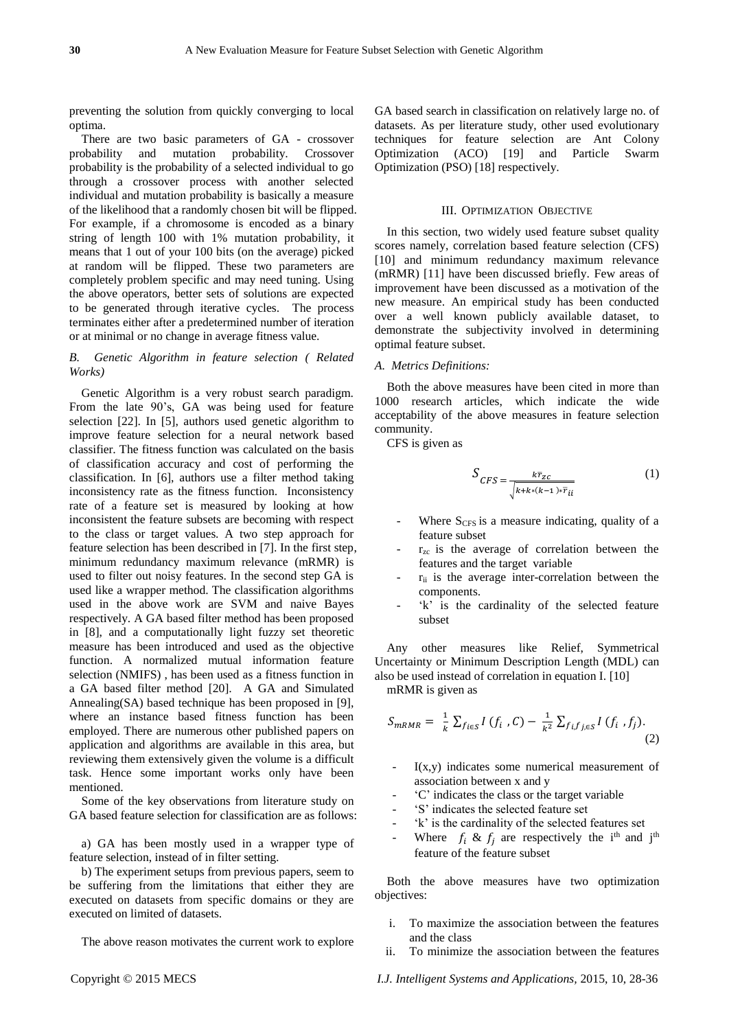preventing the solution from quickly converging to local optima.

There are two basic parameters of GA - crossover probability and mutation probability. Crossover probability is the probability of a selected individual to go through a crossover process with another selected individual and mutation probability is basically a measure of the likelihood that a randomly chosen bit will be flipped. For example, if a chromosome is encoded as a binary string of length 100 with 1% mutation probability, it means that 1 out of your 100 bits (on the average) picked at random will be flipped. These two parameters are completely problem specific and may need tuning. Using the above operators, better sets of solutions are expected to be generated through iterative cycles. The process terminates either after a predetermined number of iteration or at minimal or no change in average fitness value.

# *B. Genetic Algorithm in feature selection ( Related Works)*

Genetic Algorithm is a very robust search paradigm. From the late 90's, GA was being used for feature selection [22]. In [5], authors used genetic algorithm to improve feature selection for a neural network based classifier. The fitness function was calculated on the basis of classification accuracy and cost of performing the classification. In [6], authors use a filter method taking inconsistency rate as the fitness function. Inconsistency rate of a feature set is measured by looking at how inconsistent the feature subsets are becoming with respect to the class or target values. A two step approach for feature selection has been described in [7]. In the first step, minimum redundancy maximum relevance (mRMR) is used to filter out noisy features. In the second step GA is used like a wrapper method. The classification algorithms used in the above work are SVM and naive Bayes respectively. A GA based filter method has been proposed in [8], and a computationally light fuzzy set theoretic measure has been introduced and used as the objective function. A normalized mutual information feature selection (NMIFS) , has been used as a fitness function in a GA based filter method [20]. A GA and Simulated Annealing(SA) based technique has been proposed in [9], where an instance based fitness function has been employed. There are numerous other published papers on application and algorithms are available in this area, but reviewing them extensively given the volume is a difficult task. Hence some important works only have been mentioned.

Some of the key observations from literature study on GA based feature selection for classification are as follows:

a) GA has been mostly used in a wrapper type of feature selection, instead of in filter setting.

b) The experiment setups from previous papers, seem to be suffering from the limitations that either they are executed on datasets from specific domains or they are executed on limited of datasets.

The above reason motivates the current work to explore

GA based search in classification on relatively large no. of datasets. As per literature study, other used evolutionary techniques for feature selection are Ant Colony Optimization (ACO) [19] and Particle Swarm Optimization (PSO) [18] respectively.

# III. OPTIMIZATION OBJECTIVE

In this section, two widely used feature subset quality scores namely, correlation based feature selection (CFS) [10] and minimum redundancy maximum relevance (mRMR) [11] have been discussed briefly. Few areas of improvement have been discussed as a motivation of the new measure. An empirical study has been conducted over a well known publicly available dataset, to demonstrate the subjectivity involved in determining optimal feature subset.

## *A. Metrics Definitions:*

Both the above measures have been cited in more than 1000 research articles, which indicate the wide acceptability of the above measures in feature selection community.

CFS is given as

$$
S_{CFS} = \frac{k\overline{r}_{zc}}{\sqrt{k + k * (k-1) * \overline{r}_{ii}}}
$$
(1)

- Where  $S<sub>CFS</sub>$  is a measure indicating, quality of a feature subset
- $r_{zc}$  is the average of correlation between the features and the target variable
- $r_{ii}$  is the average inter-correlation between the components.
- 'k' is the cardinality of the selected feature subset

Any other measures like Relief, Symmetrical Uncertainty or Minimum Description Length (MDL) can also be used instead of correlation in equation I. [10] mRMR is given as

$$
S_{mRMR} = \frac{1}{k} \sum_{f_{i \in S}} I(f_i, C) - \frac{1}{k^2} \sum_{f_i f_{j \in S}} I(f_i, f_j).
$$
\n(2)

- $I(x,y)$  indicates some numerical measurement of association between x and y
- 'C' indicates the class or the target variable
- 'S' indicates the selected feature set
- 'k' is the cardinality of the selected features set
- Where  $f_i \& f_j$  are respectively the i<sup>th</sup> and j<sup>th</sup> feature of the feature subset

Both the above measures have two optimization objectives:

- i. To maximize the association between the features and the class
- ii. To minimize the association between the features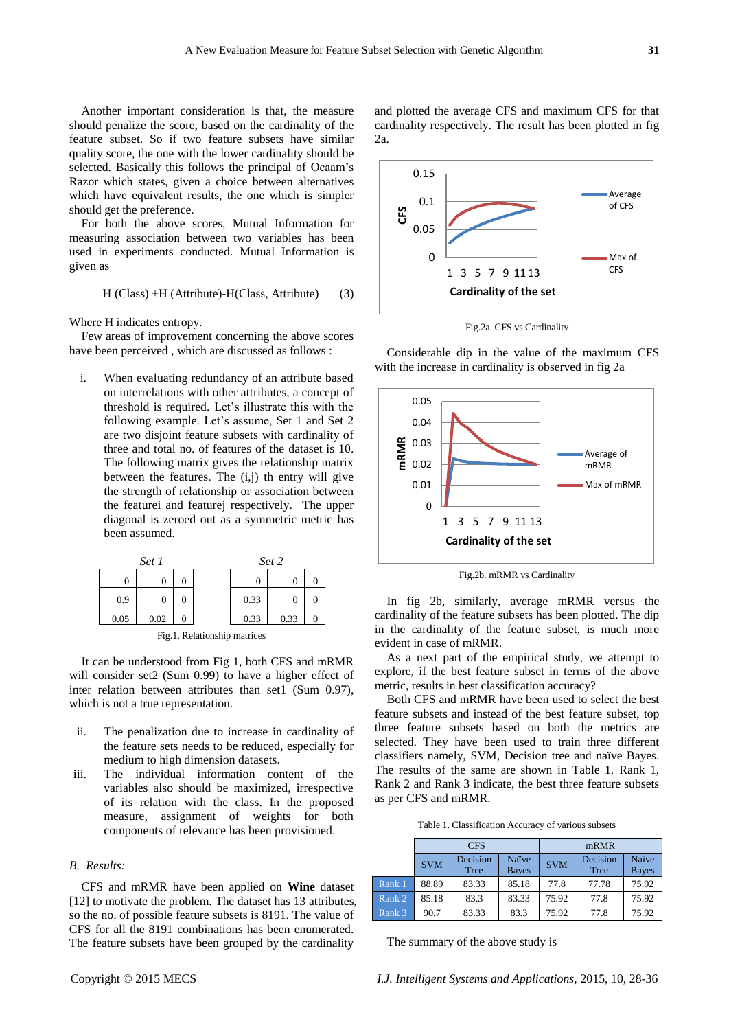Another important consideration is that, the measure should penalize the score, based on the cardinality of the feature subset. So if two feature subsets have similar quality score, the one with the lower cardinality should be selected. Basically this follows the principal of Ocaam's Razor which states, given a choice between alternatives which have equivalent results, the one which is simpler should get the preference.

For both the above scores, Mutual Information for measuring association between two variables has been used in experiments conducted. Mutual Information is given as

$$
H (Class) + H (Attribute) - H (Class,Attribute) \qquad (3)
$$

Where H indicates entropy.

Few areas of improvement concerning the above scores have been perceived , which are discussed as follows :

i. When evaluating redundancy of an attribute based on interrelations with other attributes, a concept of threshold is required. Let's illustrate this with the following example. Let's assume, Set 1 and Set 2 are two disjoint feature subsets with cardinality of three and total no. of features of the dataset is 10. The following matrix gives the relationship matrix between the features. The  $(i,j)$  th entry will give the strength of relationship or association between the featurei and featurej respectively. The upper diagonal is zeroed out as a symmetric metric has been assumed.



Fig.1. Relationship matrices

It can be understood from Fig 1, both CFS and mRMR will consider set2 (Sum 0.99) to have a higher effect of inter relation between attributes than set1 (Sum 0.97), which is not a true representation.

- ii. The penalization due to increase in cardinality of the feature sets needs to be reduced, especially for medium to high dimension datasets.
- iii. The individual information content of the variables also should be maximized, irrespective of its relation with the class. In the proposed measure, assignment of weights for both components of relevance has been provisioned.

## *B. Results:*

CFS and mRMR have been applied on **Wine** dataset [12] to motivate the problem. The dataset has 13 attributes, so the no. of possible feature subsets is 8191. The value of CFS for all the 8191 combinations has been enumerated. The feature subsets have been grouped by the cardinality



and plotted the average CFS and maximum CFS for that cardinality respectively. The result has been plotted in fig

Fig.2a. CFS vs Cardinality

Considerable dip in the value of the maximum CFS with the increase in cardinality is observed in fig 2a



Fig.2b. mRMR vs Cardinality

In fig 2b, similarly, average mRMR versus the cardinality of the feature subsets has been plotted. The dip in the cardinality of the feature subset, is much more evident in case of mRMR.

As a next part of the empirical study, we attempt to explore, if the best feature subset in terms of the above metric, results in best classification accuracy?

Both CFS and mRMR have been used to select the best feature subsets and instead of the best feature subset, top three feature subsets based on both the metrics are selected. They have been used to train three different classifiers namely, SVM, Decision tree and na  $\ddot{v}$ e Bayes. The results of the same are shown in Table 1. Rank 1, Rank 2 and Rank 3 indicate, the best three feature subsets as per CFS and mRMR.

Table 1. Classification Accuracy of various subsets

|        | <b>CFS</b> |                         |                       | mRMR       |                         |                                |
|--------|------------|-------------------------|-----------------------|------------|-------------------------|--------------------------------|
|        | <b>SVM</b> | Decision<br><b>Tree</b> | Na we<br><b>Bayes</b> | <b>SVM</b> | Decision<br><b>Tree</b> | Na <i>i</i> ve<br><b>Bayes</b> |
| Rank 1 | 88.89      | 83.33                   | 85.18                 | 77.8       | 77.78                   | 75.92                          |
| Rank 2 | 85.18      | 83.3                    | 83.33                 | 75.92      | 77.8                    | 75.92                          |
| Rank 3 | 90.7       | 83.33                   | 83.3                  | 75.92      | 77.8                    | 75.92                          |

The summary of the above study is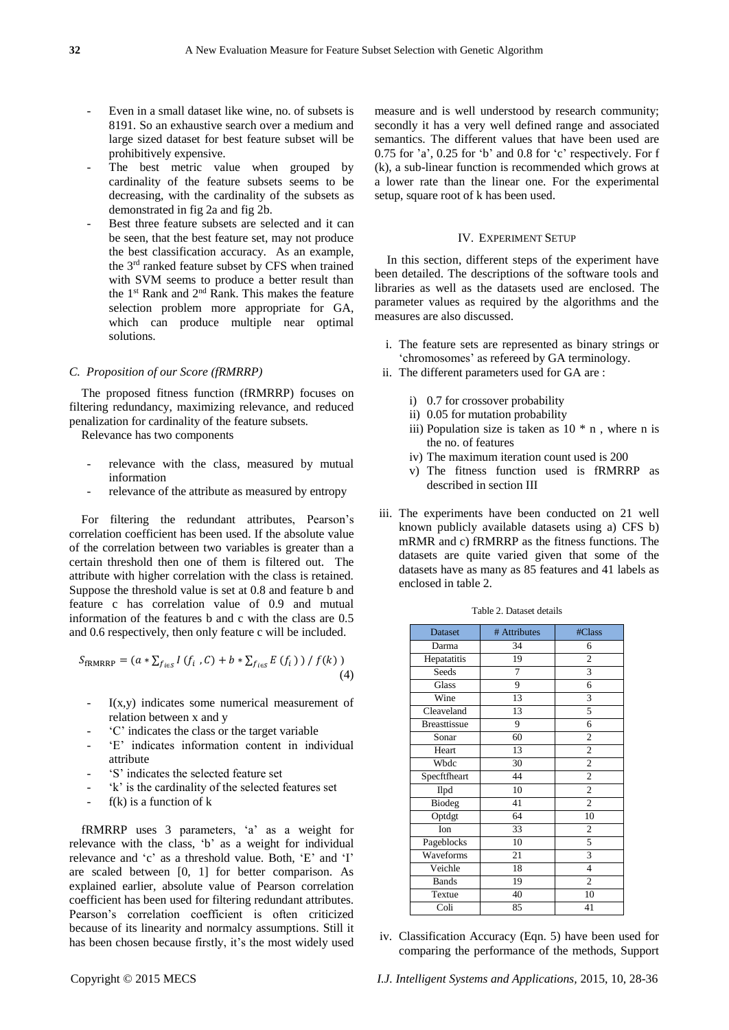- Even in a small dataset like wine, no. of subsets is 8191. So an exhaustive search over a medium and large sized dataset for best feature subset will be prohibitively expensive.
- The best metric value when grouped by cardinality of the feature subsets seems to be decreasing, with the cardinality of the subsets as demonstrated in fig 2a and fig 2b.
- Best three feature subsets are selected and it can be seen, that the best feature set, may not produce the best classification accuracy. As an example, the 3rd ranked feature subset by CFS when trained with SVM seems to produce a better result than the 1st Rank and 2nd Rank. This makes the feature selection problem more appropriate for GA, which can produce multiple near optimal solutions.

## *C. Proposition of our Score (fRMRRP)*

The proposed fitness function (fRMRRP) focuses on filtering redundancy, maximizing relevance, and reduced penalization for cardinality of the feature subsets.

Relevance has two components

- relevance with the class, measured by mutual information
- relevance of the attribute as measured by entropy

For filtering the redundant attributes, Pearson's correlation coefficient has been used. If the absolute value of the correlation between two variables is greater than a certain threshold then one of them is filtered out. The attribute with higher correlation with the class is retained. Suppose the threshold value is set at 0.8 and feature b and feature c has correlation value of 0.9 and mutual information of the features b and c with the class are 0.5 and 0.6 respectively, then only feature c will be included.

$$
S_{\text{fRMRRP}} = (a * \sum_{f_{i \in S}} I(f_i, C) + b * \sum_{f_{i \in S}} E(f_i)) / f(k))
$$
\n(4)

- $I(x,y)$  indicates some numerical measurement of relation between x and y
- 'C' indicates the class or the target variable
- 'E' indicates information content in individual attribute
- 'S' indicates the selected feature set
- 'k' is the cardinality of the selected features set
- $f(k)$  is a function of  $k$

fRMRRP uses 3 parameters, 'a' as a weight for relevance with the class, 'b' as a weight for individual relevance and 'c' as a threshold value. Both, 'E' and 'I' are scaled between [0, 1] for better comparison. As explained earlier, absolute value of Pearson correlation coefficient has been used for filtering redundant attributes. Pearson's correlation coefficient is often criticized because of its linearity and normalcy assumptions. Still it has been chosen because firstly, it's the most widely used measure and is well understood by research community; secondly it has a very well defined range and associated semantics. The different values that have been used are 0.75 for 'a', 0.25 for 'b' and 0.8 for 'c' respectively. For f (k), a sub-linear function is recommended which grows at a lower rate than the linear one. For the experimental setup, square root of k has been used.

## IV. EXPERIMENT SETUP

In this section, different steps of the experiment have been detailed. The descriptions of the software tools and libraries as well as the datasets used are enclosed. The parameter values as required by the algorithms and the measures are also discussed.

- i. The feature sets are represented as binary strings or 'chromosomes' as refereed by GA terminology.
- ii. The different parameters used for GA are :
	- i) 0.7 for crossover probability
	- ii) 0.05 for mutation probability
	- iii) Population size is taken as  $10 * n$ , where n is the no. of features
	- iv) The maximum iteration count used is 200
	- v) The fitness function used is fRMRRP as described in section III
- iii. The experiments have been conducted on 21 well known publicly available datasets using a) CFS b) mRMR and c) fRMRRP as the fitness functions. The datasets are quite varied given that some of the datasets have as many as 85 features and 41 labels as enclosed in table 2.

| Dataset             | # Attributes | #Class         |
|---------------------|--------------|----------------|
| Darma               | 34           | 6              |
| Hepatatitis         | 19           | $\overline{2}$ |
| Seeds               | 7            | 3              |
| Glass               | 9            | 6              |
| Wine                | 13           | 3              |
| Cleaveland          | 13           | 5              |
| <b>Breasttissue</b> | 9            | 6              |
| Sonar               | 60           | $\overline{c}$ |
| Heart               | 13           | $\overline{2}$ |
| Wbdc                | 30           | $\overline{c}$ |
| Specftfheart        | 44           | $\overline{c}$ |
| Ilpd                | 10           | $\overline{c}$ |
| Biodeg              | 41           | $\overline{2}$ |
| Optdgt              | 64           | 10             |
| Ion                 | 33           | 2              |
| Pageblocks          | 10           | 5              |
| Waveforms           | 21           | 3              |
| Veichle             | 18           | 4              |
| <b>Bands</b>        | 19           | $\overline{c}$ |
| Textue              | 40           | 10             |
| Coli                | 85           | 41             |

Table 2. Dataset details

iv. Classification Accuracy (Eqn. 5) have been used for comparing the performance of the methods, Support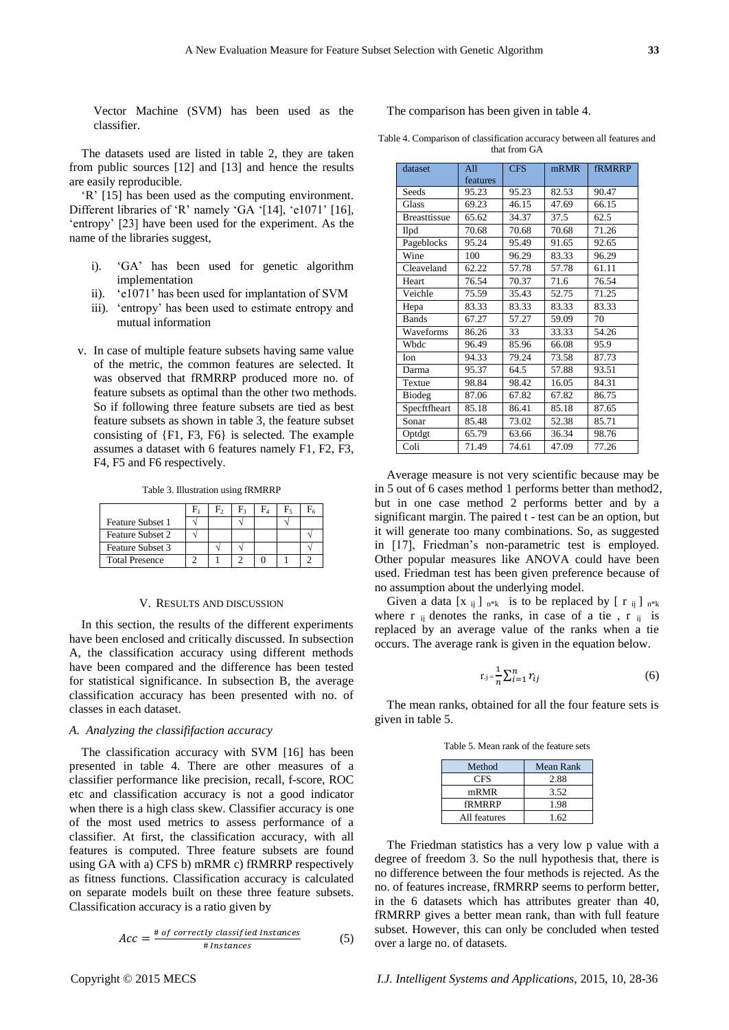Vector Machine (SVM) has been used as the classifier.

The datasets used are listed in table 2, they are taken from public sources [12] and [13] and hence the results are easily reproducible.

'R' [15] has been used as the computing environment. Different libraries of 'R' namely 'GA '[14], 'e1071' [16], 'entropy' [23] have been used for the experiment. As the name of the libraries suggest,

- i). 'GA' has been used for genetic algorithm implementation
- ii). 'e1071' has been used for implantation of SVM
- iii). 'entropy' has been used to estimate entropy and mutual information
- v. In case of multiple feature subsets having same value of the metric, the common features are selected. It was observed that fRMRRP produced more no. of feature subsets as optimal than the other two methods. So if following three feature subsets are tied as best feature subsets as shown in table 3, the feature subset consisting of {F1, F3, F6} is selected. The example assumes a dataset with 6 features namely F1, F2, F3, F4, F5 and F6 respectively.

Table 3. Illustration using fRMRRP

|                         |  | F3 | $F_{5}$ |  |
|-------------------------|--|----|---------|--|
| <b>Feature Subset 1</b> |  |    |         |  |
| <b>Feature Subset 2</b> |  |    |         |  |
| Feature Subset 3        |  |    |         |  |
| <b>Total Presence</b>   |  |    |         |  |

#### V. RESULTS AND DISCUSSION

In this section, the results of the different experiments have been enclosed and critically discussed. In subsection A, the classification accuracy using different methods have been compared and the difference has been tested for statistical significance. In subsection B, the average classification accuracy has been presented with no. of classes in each dataset.

# *A. Analyzing the classififaction accuracy*

The classification accuracy with SVM [16] has been presented in table 4. There are other measures of a classifier performance like precision, recall, f-score, ROC etc and classification accuracy is not a good indicator when there is a high class skew. Classifier accuracy is one of the most used metrics to assess performance of a classifier. At first, the classification accuracy, with all features is computed. Three feature subsets are found using GA with a) CFS b) mRMR c) fRMRRP respectively as fitness functions. Classification accuracy is calculated on separate models built on these three feature subsets. Classification accuracy is a ratio given by

$$
Acc = \frac{\text{\# of correctly classified instances}}{\text{\# instances}} \tag{5}
$$

## The comparison has been given in table 4.

Table 4. Comparison of classification accuracy between all features and that from GA

| dataset             | All<br><b>CFS</b> |       | mRMR  | <b>fRMRRP</b> |
|---------------------|-------------------|-------|-------|---------------|
|                     | features          |       |       |               |
| Seeds               | 95.23             | 95.23 | 82.53 | 90.47         |
| Glass               | 69.23             | 46.15 | 47.69 | 66.15         |
| <b>Breasttissue</b> | 65.62             | 34.37 | 37.5  | 62.5          |
| II <sub>pd</sub>    | 70.68             | 70.68 | 70.68 | 71.26         |
| Pageblocks          | 95.24             | 95.49 | 91.65 | 92.65         |
| Wine                | 100               | 96.29 | 83.33 | 96.29         |
| Cleaveland          | 62.22             | 57.78 | 57.78 | 61.11         |
| Heart               | 76.54             | 70.37 | 71.6  | 76.54         |
| Veichle             | 75.59             | 35.43 | 52.75 | 71.25         |
| Hepa                | 83.33             | 83.33 | 83.33 | 83.33         |
| <b>Bands</b>        | 67.27             | 57.27 | 59.09 | 70            |
| Waveforms           | 86.26             | 33    | 33.33 | 54.26         |
| Wbdc                | 96.49             | 85.96 | 66.08 | 95.9          |
| Ion                 | 94.33             | 79.24 | 73.58 | 87.73         |
| Darma               | 95.37             | 64.5  | 57.88 | 93.51         |
| Textue              | 98.84             | 98.42 | 16.05 | 84.31         |
| Biodeg              | 87.06             | 67.82 | 67.82 | 86.75         |
| Specftfheart        | 85.18             | 86.41 | 85.18 | 87.65         |
| Sonar               | 85.48             | 73.02 | 52.38 | 85.71         |
| Optdgt              | 65.79             | 63.66 | 36.34 | 98.76         |
| Coli                | 71.49             | 74.61 | 47.09 | 77.26         |

Average measure is not very scientific because may be in 5 out of 6 cases method 1 performs better than method2, but in one case method 2 performs better and by a significant margin. The paired t - test can be an option, but it will generate too many combinations. So, as suggested in [17], Friedman's non-parametric test is employed. Other popular measures like ANOVA could have been used. Friedman test has been given preference because of no assumption about the underlying model.

Given a data  $[x_{ij}]_{n*k}$  is to be replaced by  $[r_{ij}]_{n*k}$ where  $r_{ij}$  denotes the ranks, in case of a tie,  $r_{ij}$  is replaced by an average value of the ranks when a tie occurs. The average rank is given in the equation below.

$$
r_{.j} = \frac{1}{n} \sum_{i=1}^{n} r_{ij}
$$
 (6)

The mean ranks, obtained for all the four feature sets is given in table 5.

Table 5. Mean rank of the feature sets

| Method       | <b>Mean Rank</b> |
|--------------|------------------|
| <b>CFS</b>   | 2.88             |
| mRMR         | 3.52             |
| fRMRRP       | 1.98             |
| All features | 1.62             |

The Friedman statistics has a very low p value with a degree of freedom 3. So the null hypothesis that, there is no difference between the four methods is rejected. As the no. of features increase, fRMRRP seems to perform better, in the 6 datasets which has attributes greater than 40, fRMRRP gives a better mean rank, than with full feature subset. However, this can only be concluded when tested over a large no. of datasets.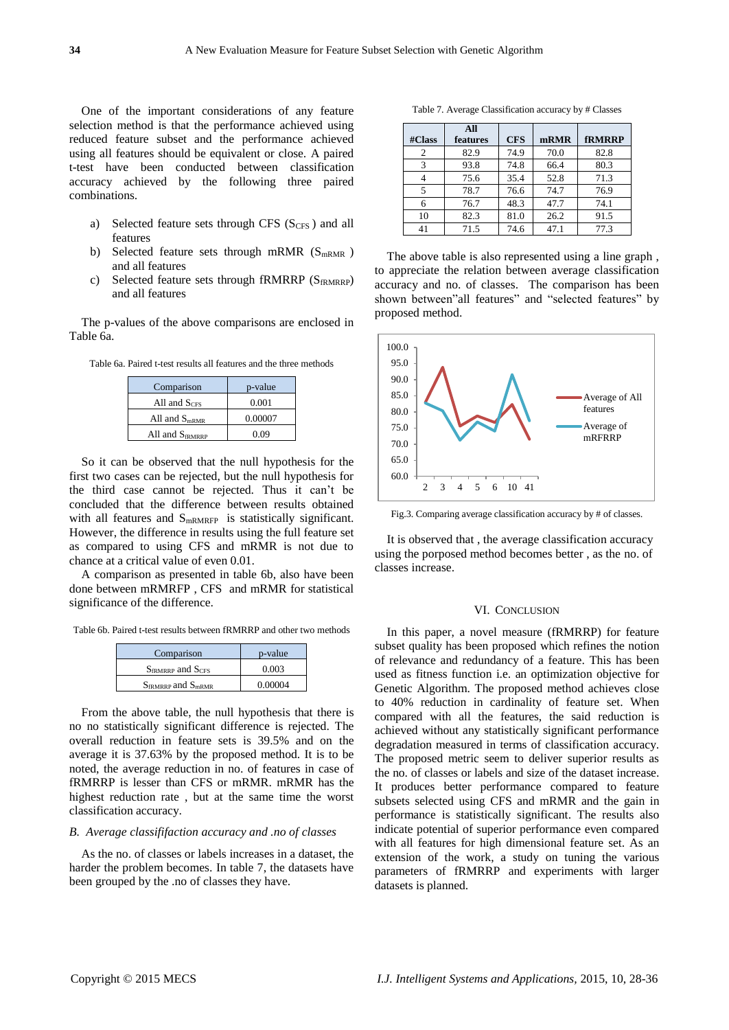One of the important considerations of any feature selection method is that the performance achieved using reduced feature subset and the performance achieved using all features should be equivalent or close. A paired t-test have been conducted between classification accuracy achieved by the following three paired combinations.

- a) Selected feature sets through CFS  $(S<sub>CES</sub>)$  and all features
- b) Selected feature sets through mRMR  $(S<sub>mRMR</sub>)$ and all features
- c) Selected feature sets through fRMRRP (SFRMRRP) and all features

The p-values of the above comparisons are enclosed in Table 6a.

Table 6a. Paired t-test results all features and the three methods

| Comparison           | p-value |  |  |
|----------------------|---------|--|--|
| All and $SCES$       | 0.001   |  |  |
| All and $S_{mRMR}$   | 0.00007 |  |  |
| All and $S_{fRMRRP}$ | 0.09    |  |  |

So it can be observed that the null hypothesis for the first two cases can be rejected, but the null hypothesis for the third case cannot be rejected. Thus it can't be concluded that the difference between results obtained with all features and S<sub>mRMRFP</sub> is statistically significant. However, the difference in results using the full feature set as compared to using CFS and mRMR is not due to chance at a critical value of even 0.01.

A comparison as presented in table 6b, also have been done between mRMRFP , CFS and mRMR for statistical significance of the difference.

Table 6b. Paired t-test results between fRMRRP and other two methods

| Comparison                  | p-value |
|-----------------------------|---------|
| $S_{fRMRRP}$ and $S_{CFS}$  | 0.003   |
| $S_{fRMRRP}$ and $S_{mRMR}$ | 0.00004 |

From the above table, the null hypothesis that there is no no statistically significant difference is rejected. The overall reduction in feature sets is 39.5% and on the average it is 37.63% by the proposed method. It is to be noted, the average reduction in no. of features in case of fRMRRP is lesser than CFS or mRMR. mRMR has the highest reduction rate , but at the same time the worst classification accuracy.

### *B. Average classififaction accuracy and .no of classes*

As the no. of classes or labels increases in a dataset, the harder the problem becomes. In table 7, the datasets have been grouped by the .no of classes they have.

Table 7. Average Classification accuracy by # Classes

|        | All      |            |      |               |
|--------|----------|------------|------|---------------|
| #Class | features | <b>CFS</b> | mRMR | <b>fRMRRP</b> |
| 2      | 82.9     | 74.9       | 70.0 | 82.8          |
| 3      | 93.8     | 74.8       | 66.4 | 80.3          |
|        | 75.6     | 35.4       | 52.8 | 71.3          |
| 5      | 78.7     | 76.6       | 74.7 | 76.9          |
|        | 76.7     | 48.3       | 47.7 | 74.1          |
| 10     | 82.3     | 81.0       | 26.2 | 91.5          |
| 41     | 71.5     | 74.6       | 47.1 | 77.3          |

The above table is also represented using a line graph , to appreciate the relation between average classification accuracy and no. of classes. The comparison has been shown between"all features" and "selected features" by proposed method.



Fig.3. Comparing average classification accuracy by # of classes.

It is observed that , the average classification accuracy using the porposed method becomes better , as the no. of classes increase.

#### VI. CONCLUSION

In this paper, a novel measure (fRMRRP) for feature subset quality has been proposed which refines the notion of relevance and redundancy of a feature. This has been used as fitness function i.e. an optimization objective for Genetic Algorithm. The proposed method achieves close to 40% reduction in cardinality of feature set. When compared with all the features, the said reduction is achieved without any statistically significant performance degradation measured in terms of classification accuracy. The proposed metric seem to deliver superior results as the no. of classes or labels and size of the dataset increase. It produces better performance compared to feature subsets selected using CFS and mRMR and the gain in performance is statistically significant. The results also indicate potential of superior performance even compared with all features for high dimensional feature set. As an extension of the work, a study on tuning the various parameters of fRMRRP and experiments with larger datasets is planned.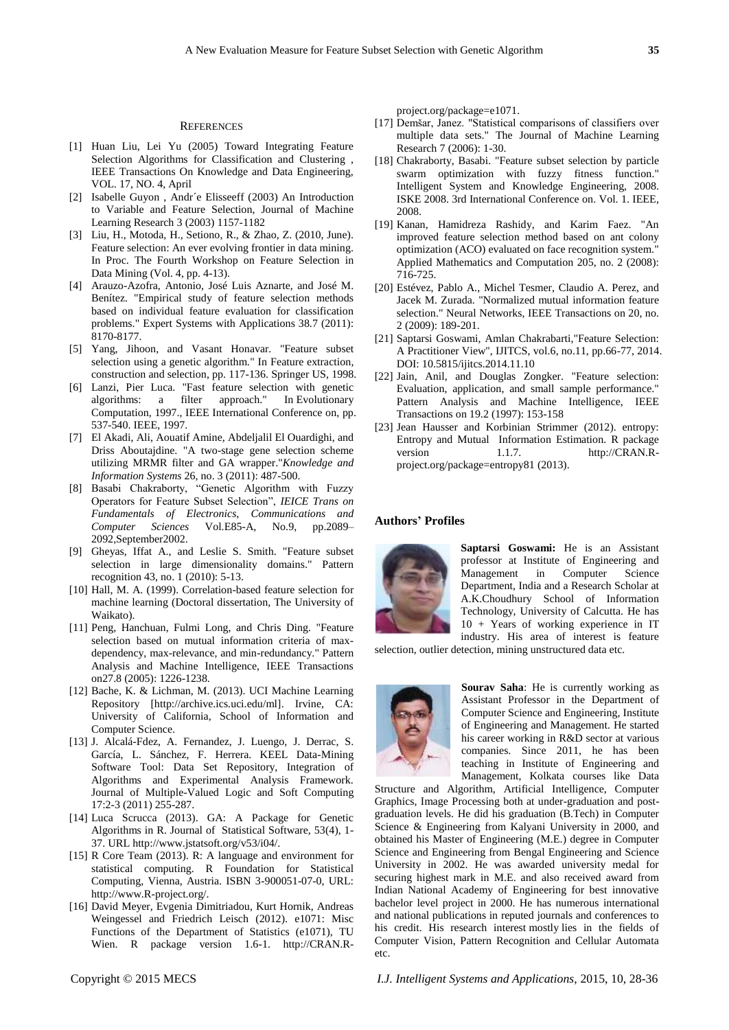### **REFERENCES**

- [1] Huan Liu, Lei Yu (2005) Toward Integrating Feature Selection Algorithms for Classification and Clustering , IEEE Transactions On Knowledge and Data Engineering, VOL. 17, NO. 4, April
- [2] Isabelle Guyon , Andr´e Elisseeff (2003) An Introduction to Variable and Feature Selection, Journal of Machine Learning Research 3 (2003) 1157-1182
- [3] Liu, H., Motoda, H., Setiono, R., & Zhao, Z. (2010, June). Feature selection: An ever evolving frontier in data mining. In Proc. The Fourth Workshop on Feature Selection in Data Mining (Vol. 4, pp. 4-13).
- [4] Arauzo-Azofra, Antonio, José Luis Aznarte, and José M. Ben fez. "Empirical study of feature selection methods based on individual feature evaluation for classification problems." Expert Systems with Applications 38.7 (2011): 8170-8177.
- [5] Yang, Jihoon, and Vasant Honavar. "Feature subset selection using a genetic algorithm." In Feature extraction, construction and selection, pp. 117-136. Springer US, 1998.
- [6] Lanzi, Pier Luca. "Fast feature selection with genetic algorithms: a filter approach." In Evolutionary Computation, 1997., IEEE International Conference on, pp. 537-540. IEEE, 1997.
- [7] El Akadi, Ali, Aouatif Amine, Abdeljalil El Ouardighi, and Driss Aboutajdine. "A two-stage gene selection scheme utilizing MRMR filter and GA wrapper."*Knowledge and Information Systems* 26, no. 3 (2011): 487-500.
- [8] Basabi Chakraborty, "Genetic Algorithm with Fuzzy Operators for Feature Subset Selection", *IEICE Trans on Fundamentals of Electronics, Communications and Computer Sciences* Vol.E85-A, No.9, pp.2089– 2092,September2002.
- [9] Gheyas, Iffat A., and Leslie S. Smith. "Feature subset selection in large dimensionality domains." Pattern recognition 43, no. 1 (2010): 5-13.
- [10] Hall, M. A. (1999). Correlation-based feature selection for machine learning (Doctoral dissertation, The University of Waikato).
- [11] Peng, Hanchuan, Fulmi Long, and Chris Ding. "Feature selection based on mutual information criteria of maxdependency, max-relevance, and min-redundancy." Pattern Analysis and Machine Intelligence, IEEE Transactions on27.8 (2005): 1226-1238.
- [12] Bache, K. & Lichman, M. (2013). UCI Machine Learning Repository [http://archive.ics.uci.edu/ml]. Irvine, CA: University of California, School of Information and Computer Science.
- [13] J. Alcalá-Fdez, A. Fernandez, J. Luengo, J. Derrac, S. García, L. Sánchez, F. Herrera. KEEL Data-Mining Software Tool: Data Set Repository, Integration of Algorithms and Experimental Analysis Framework. Journal of Multiple-Valued Logic and Soft Computing 17:2-3 (2011) 255-287.
- [14] Luca Scrucca (2013). GA: A Package for Genetic Algorithms in R. Journal of Statistical Software, 53(4), 1- 37. URL http://www.jstatsoft.org/v53/i04/.
- [15] R Core Team (2013). R: A language and environment for statistical computing. R Foundation for Statistical Computing, Vienna, Austria. ISBN 3-900051-07-0, URL: http://www.R-project.org/.
- [16] David Meyer, Evgenia Dimitriadou, Kurt Hornik, Andreas Weingessel and Friedrich Leisch (2012). e1071: Misc Functions of the Department of Statistics (e1071), TU Wien. R package version 1.6-1. http://CRAN.R-

project.org/package=e1071.

- [17] Demšar, Janez. "Statistical comparisons of classifiers over multiple data sets." The Journal of Machine Learning Research 7 (2006): 1-30.
- [18] Chakraborty, Basabi. "Feature subset selection by particle swarm optimization with fuzzy fitness function." Intelligent System and Knowledge Engineering, 2008. ISKE 2008. 3rd International Conference on. Vol. 1. IEEE, 2008.
- [19] Kanan, Hamidreza Rashidy, and Karim Faez. "An improved feature selection method based on ant colony optimization (ACO) evaluated on face recognition system." Applied Mathematics and Computation 205, no. 2 (2008): 716-725.
- [20] Estévez, Pablo A., Michel Tesmer, Claudio A. Perez, and Jacek M. Zurada. "Normalized mutual information feature selection." Neural Networks, IEEE Transactions on 20, no. 2 (2009): 189-201.
- [21] Saptarsi Goswami, Amlan Chakrabarti,"Feature Selection: A Practitioner View", IJITCS, vol.6, no.11, pp.66-77, 2014. DOI: 10.5815/ijitcs.2014.11.10
- [22] Jain, Anil, and Douglas Zongker. "Feature selection: Evaluation, application, and small sample performance." Pattern Analysis and Machine Intelligence, IEEE Transactions on 19.2 (1997): 153-158
- [23] Jean Hausser and Korbinian Strimmer (2012). entropy: Entropy and Mutual Information Estimation. R package version 1.1.7. http://CRAN.Rproject.org/package=entropy81 (2013).

## **Authors' Profiles**



**Saptarsi Goswami:** He is an Assistant professor at Institute of Engineering and Management in Computer Science Department, India and a Research Scholar at A.K.Choudhury School of Information Technology, University of Calcutta. He has 10 + Years of working experience in IT industry. His area of interest is feature

selection, outlier detection, mining unstructured data etc.



**Sourav Saha**: He is currently working as Assistant Professor in the Department of Computer Science and Engineering, Institute of Engineering and Management. He started his career working in R&D sector at various companies. Since 2011, he has been teaching in Institute of Engineering and Management, Kolkata courses like Data

Structure and Algorithm, Artificial Intelligence, Computer Graphics, Image Processing both at under-graduation and postgraduation levels. He did his graduation (B.Tech) in Computer Science & Engineering from Kalyani University in 2000, and obtained his Master of Engineering (M.E.) degree in Computer Science and Engineering from Bengal Engineering and Science University in 2002. He was awarded university medal for securing highest mark in M.E. and also received award from Indian National Academy of Engineering for best innovative bachelor level project in 2000. He has numerous international and national publications in reputed journals and conferences to his credit. His research interest mostly lies in the fields of Computer Vision, Pattern Recognition and Cellular Automata etc.